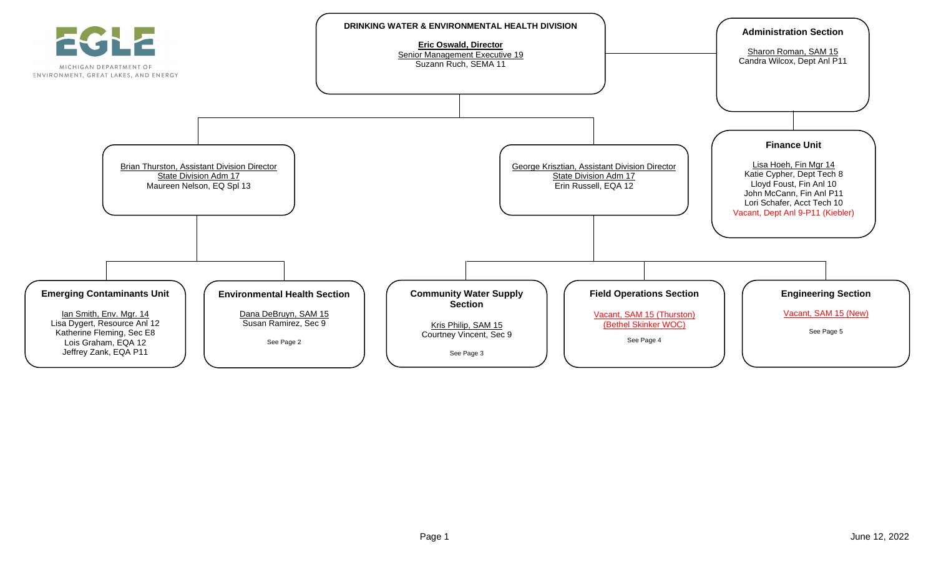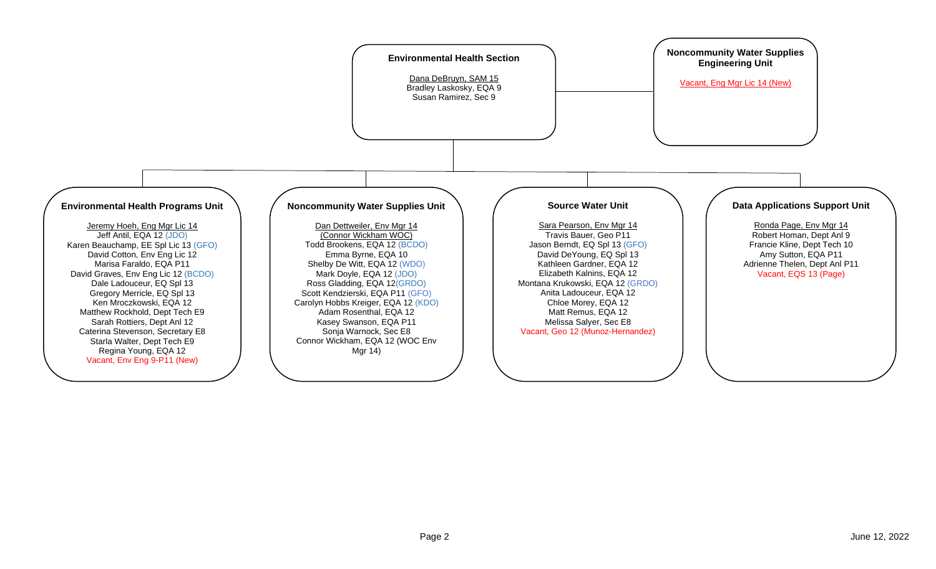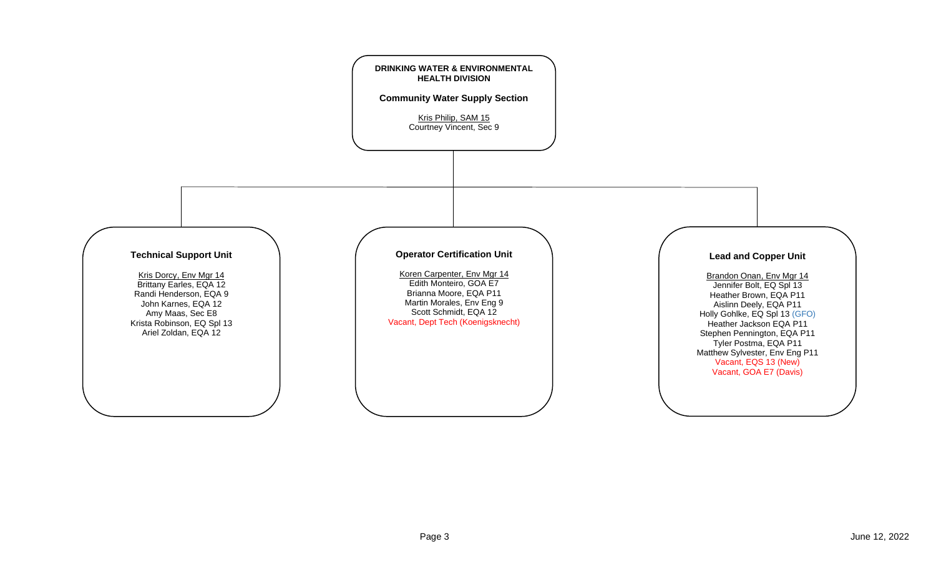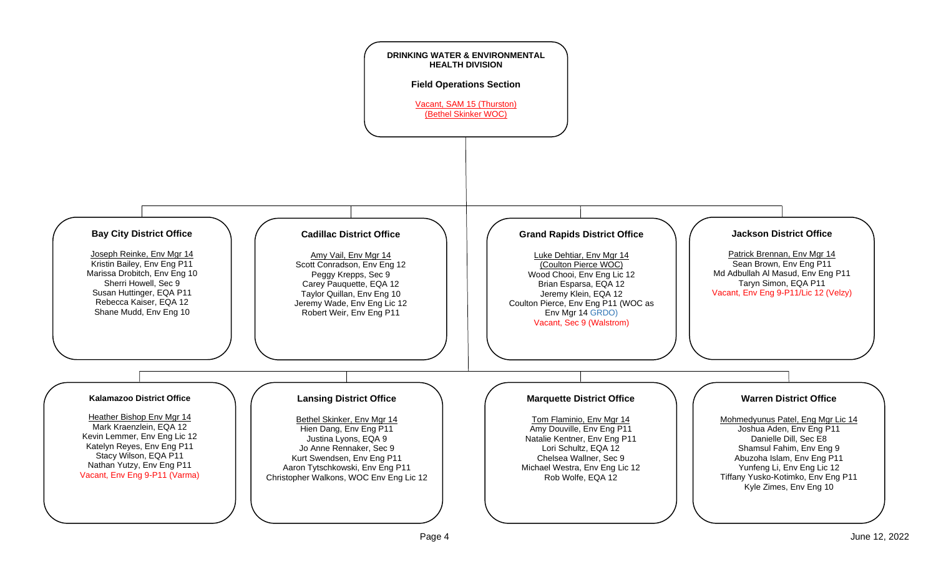